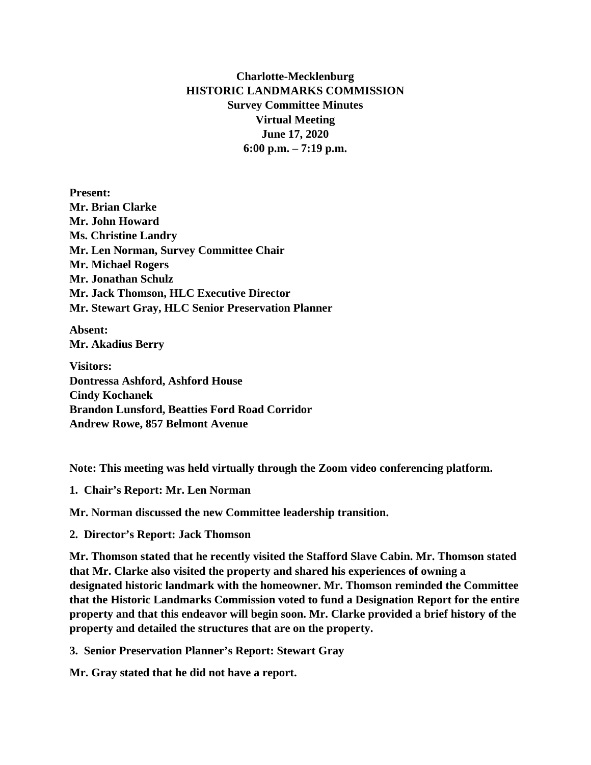## **Charlotte-Mecklenburg HISTORIC LANDMARKS COMMISSION Survey Committee Minutes Virtual Meeting June 17, 2020 6:00 p.m. – 7:19 p.m.**

**Present: Mr. Brian Clarke Mr. John Howard Ms. Christine Landry Mr. Len Norman, Survey Committee Chair Mr. Michael Rogers Mr. Jonathan Schulz Mr. Jack Thomson, HLC Executive Director Mr. Stewart Gray, HLC Senior Preservation Planner**

**Absent: Mr. Akadius Berry**

**Visitors: Dontressa Ashford, Ashford House Cindy Kochanek Brandon Lunsford, Beatties Ford Road Corridor Andrew Rowe, 857 Belmont Avenue**

**Note: This meeting was held virtually through the Zoom video conferencing platform.**

**1. Chair's Report: Mr. Len Norman**

**Mr. Norman discussed the new Committee leadership transition.** 

**2. Director's Report: Jack Thomson**

**Mr. Thomson stated that he recently visited the Stafford Slave Cabin. Mr. Thomson stated that Mr. Clarke also visited the property and shared his experiences of owning a designated historic landmark with the homeowner. Mr. Thomson reminded the Committee that the Historic Landmarks Commission voted to fund a Designation Report for the entire property and that this endeavor will begin soon. Mr. Clarke provided a brief history of the property and detailed the structures that are on the property.** 

**3. Senior Preservation Planner's Report: Stewart Gray**

**Mr. Gray stated that he did not have a report.**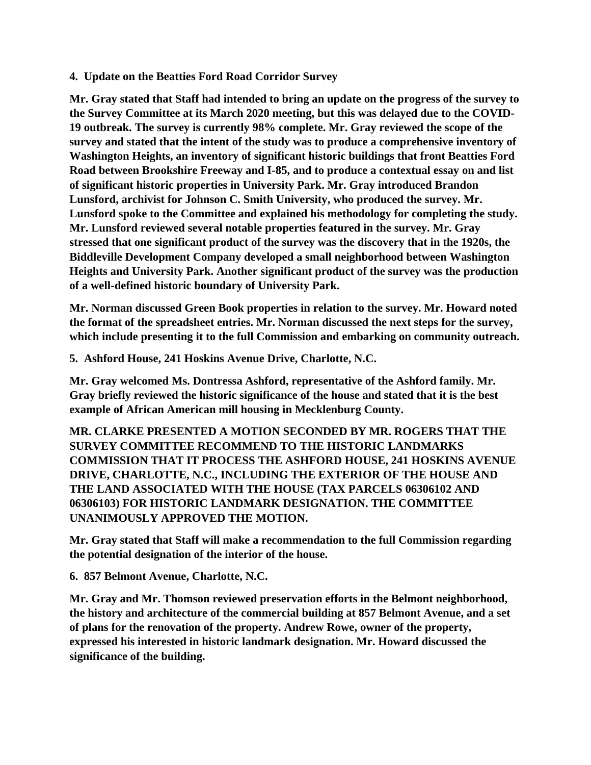## **4. Update on the Beatties Ford Road Corridor Survey**

**Mr. Gray stated that Staff had intended to bring an update on the progress of the survey to the Survey Committee at its March 2020 meeting, but this was delayed due to the COVID-19 outbreak. The survey is currently 98% complete. Mr. Gray reviewed the scope of the survey and stated that the intent of the study was to produce a comprehensive inventory of Washington Heights, an inventory of significant historic buildings that front Beatties Ford Road between Brookshire Freeway and I-85, and to produce a contextual essay on and list of significant historic properties in University Park. Mr. Gray introduced Brandon Lunsford, archivist for Johnson C. Smith University, who produced the survey. Mr. Lunsford spoke to the Committee and explained his methodology for completing the study. Mr. Lunsford reviewed several notable properties featured in the survey. Mr. Gray stressed that one significant product of the survey was the discovery that in the 1920s, the Biddleville Development Company developed a small neighborhood between Washington Heights and University Park. Another significant product of the survey was the production of a well-defined historic boundary of University Park.**

**Mr. Norman discussed Green Book properties in relation to the survey. Mr. Howard noted the format of the spreadsheet entries. Mr. Norman discussed the next steps for the survey, which include presenting it to the full Commission and embarking on community outreach.** 

**5. Ashford House, 241 Hoskins Avenue Drive, Charlotte, N.C.**

**Mr. Gray welcomed Ms. Dontressa Ashford, representative of the Ashford family. Mr. Gray briefly reviewed the historic significance of the house and stated that it is the best example of African American mill housing in Mecklenburg County.**

**MR. CLARKE PRESENTED A MOTION SECONDED BY MR. ROGERS THAT THE SURVEY COMMITTEE RECOMMEND TO THE HISTORIC LANDMARKS COMMISSION THAT IT PROCESS THE ASHFORD HOUSE, 241 HOSKINS AVENUE DRIVE, CHARLOTTE, N.C., INCLUDING THE EXTERIOR OF THE HOUSE AND THE LAND ASSOCIATED WITH THE HOUSE (TAX PARCELS 06306102 AND 06306103) FOR HISTORIC LANDMARK DESIGNATION. THE COMMITTEE UNANIMOUSLY APPROVED THE MOTION.** 

**Mr. Gray stated that Staff will make a recommendation to the full Commission regarding the potential designation of the interior of the house.** 

**6. 857 Belmont Avenue, Charlotte, N.C.**

**Mr. Gray and Mr. Thomson reviewed preservation efforts in the Belmont neighborhood, the history and architecture of the commercial building at 857 Belmont Avenue, and a set of plans for the renovation of the property. Andrew Rowe, owner of the property, expressed his interested in historic landmark designation. Mr. Howard discussed the significance of the building.**